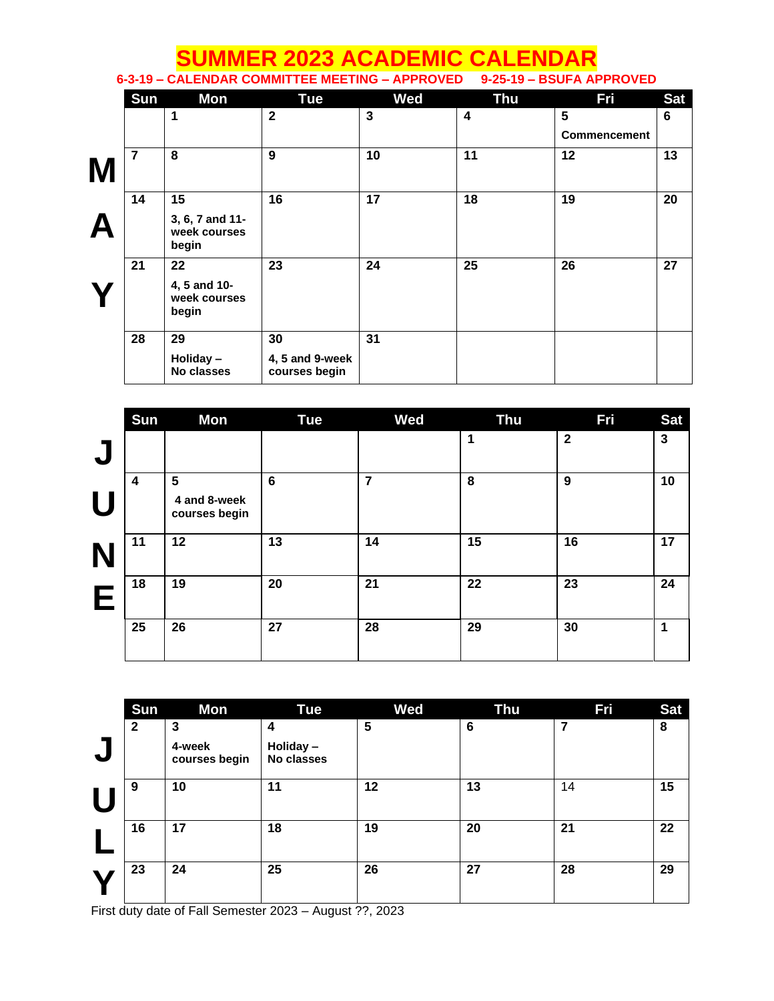|   | <b>SUMMER 2023 ACADEMIC CALENDAR</b><br>6-3-19 - CALENDAR COMMITTEE MEETING - APPROVED 9-25-19 - BSUFA APPROVED |                                          |                                  |            |            |                     |            |
|---|-----------------------------------------------------------------------------------------------------------------|------------------------------------------|----------------------------------|------------|------------|---------------------|------------|
|   | Sun                                                                                                             | Mon                                      | <b>Tue</b>                       | <b>Wed</b> | <b>Thu</b> | <b>Fri</b>          | <b>Sat</b> |
|   |                                                                                                                 | 1                                        | $\overline{2}$                   | 3          | 4          | 5                   | 6          |
|   |                                                                                                                 |                                          |                                  |            |            | <b>Commencement</b> |            |
| M | $\overline{7}$                                                                                                  | 8                                        | 9                                | 10         | 11         | 12                  | 13         |
|   | 14                                                                                                              | 15                                       | 16                               | 17         | 18         | 19                  | 20         |
|   |                                                                                                                 | 3, 6, 7 and 11-<br>week courses<br>begin |                                  |            |            |                     |            |
|   | 21                                                                                                              | 22                                       | 23                               | 24         | 25         | 26                  | 27         |
|   |                                                                                                                 | 4, 5 and 10-<br>week courses<br>begin    |                                  |            |            |                     |            |
|   | 28                                                                                                              | 29                                       | 30                               | 31         |            |                     |            |
|   |                                                                                                                 | Holiday-<br>No classes                   | 4, 5 and 9-week<br>courses begin |            |            |                     |            |

|              | <b>Sun</b> | Mon                                             | <b>Tue</b>      | Wed | <b>Thu</b> | Fri          | <b>Sat</b>   |
|--------------|------------|-------------------------------------------------|-----------------|-----|------------|--------------|--------------|
| $\mathbf{L}$ |            |                                                 |                 |     | 1          | $\mathbf{2}$ | $\mathbf{3}$ |
| H            | 4          | $5\phantom{1}$<br>4 and 8-week<br>courses begin | $6\phantom{1}6$ | 7   | 8          | 9            | 10           |
| N            | 11         | 12                                              | 13              | 14  | 15         | 16           | 17           |
| E            | 18         | 19                                              | 20              | 21  | 22         | 23           | 24           |
|              | 25         | 26                                              | 27              | 28  | 29         | 30           | 1            |

| Sun          | Mon                     | <b>Tue</b>             | <b>Wed</b> | <b>Thu</b> | Fri | <b>Sat</b> |
|--------------|-------------------------|------------------------|------------|------------|-----|------------|
| $\mathbf{2}$ | 3                       | 4                      | 5          | 6          | 7   | 8          |
|              | 4-week<br>courses begin | Holiday-<br>No classes |            |            |     |            |
| 9            | 10                      | 11                     | 12         | 13         | 14  | 15         |
| 16           | 17                      | 18                     | 19         | 20         | 21  | 22         |
| 23           | 24                      | 25                     | 26         | 27         | 28  | 29         |

First duty date of Fall Semester 2023 – August ??, 2023